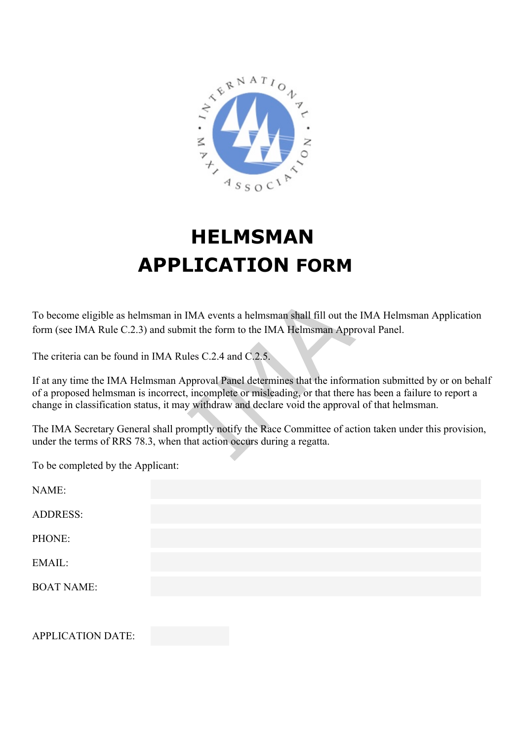

# **HELMSMAN APPLICATION FORM**

To become eligible as helmsman in IMA events a helmsman shall fill out the IMA Helmsman Application form (see IMA Rule C.2.3) and submit the form to the IMA Helmsman Approval Panel.

The criteria can be found in IMA Rules C.2.4 and C.2.5.

If at any time the IMA Helmsman Approval Panel determines that the information submitted by or on behalf of a proposed helmsman is incorrect, incomplete or misleading, or that there has been a failure to report a change in classification status, it may withdraw and declare void the approval of that helmsman.

The IMA Secretary General shall promptly notify the Race Committee of action taken under this provision, under the terms of RRS 78.3, when that action occurs during a regatta.

To be completed by the Applicant:

| NAME:             |  |  |
|-------------------|--|--|
| <b>ADDRESS:</b>   |  |  |
| PHONE:            |  |  |
| EMAIL:            |  |  |
| <b>BOAT NAME:</b> |  |  |
|                   |  |  |

APPLICATION DATE: